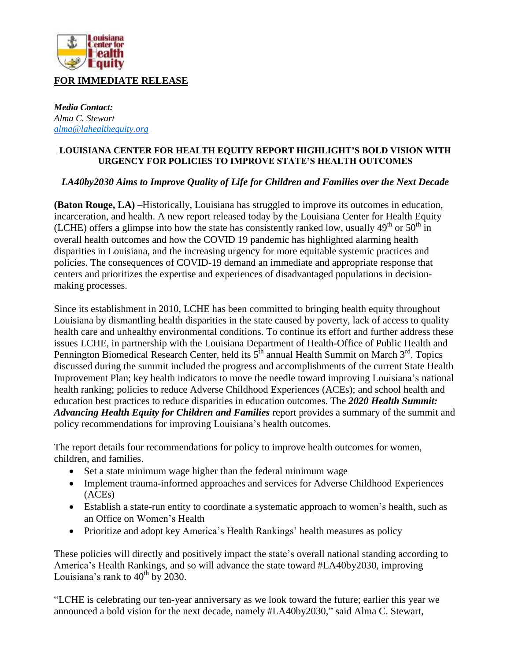

*Media Contact: Alma C. Stewart [alma@lahealthequity.org](mailto:alma@lahealthequity.org)*

## **LOUISIANA CENTER FOR HEALTH EQUITY REPORT HIGHLIGHT'S BOLD VISION WITH URGENCY FOR POLICIES TO IMPROVE STATE'S HEALTH OUTCOMES**

## *LA40by2030 Aims to Improve Quality of Life for Children and Families over the Next Decade*

**(Baton Rouge, LA)** –Historically, Louisiana has struggled to improve its outcomes in education, incarceration, and health. A new report released today by the Louisiana Center for Health Equity (LCHE) offers a glimpse into how the state has consistently ranked low, usually  $49<sup>th</sup>$  or  $50<sup>th</sup>$  in overall health outcomes and how the COVID 19 pandemic has highlighted alarming health disparities in Louisiana, and the increasing urgency for more equitable systemic practices and policies. The consequences of COVID-19 demand an immediate and appropriate response that centers and prioritizes the expertise and experiences of disadvantaged populations in decisionmaking processes.

Since its establishment in 2010, LCHE has been committed to bringing health equity throughout Louisiana by dismantling health disparities in the state caused by poverty, lack of access to quality health care and unhealthy environmental conditions. To continue its effort and further address these issues LCHE, in partnership with the Louisiana Department of Health-Office of Public Health and Pennington Biomedical Research Center, held its  $5^{\text{th}}$  annual Health Summit on March 3<sup>rd</sup>. Topics discussed during the summit included the progress and accomplishments of the current State Health Improvement Plan; key health indicators to move the needle toward improving Louisiana's national health ranking; policies to reduce Adverse Childhood Experiences (ACEs); and school health and education best practices to reduce disparities in education outcomes. The *2020 Health Summit: Advancing Health Equity for Children and Families* report provides a summary of the summit and policy recommendations for improving Louisiana's health outcomes.

The report details four recommendations for policy to improve health outcomes for women, children, and families.

- Set a state minimum wage higher than the federal minimum wage
- Implement trauma-informed approaches and services for Adverse Childhood Experiences (ACEs)
- Establish a state-run entity to coordinate a systematic approach to women's health, such as an Office on Women's Health
- Prioritize and adopt key America's Health Rankings' health measures as policy

These policies will directly and positively impact the state's overall national standing according to America's Health Rankings, and so will advance the state toward #LA40by2030, improving Louisiana's rank to  $40^{th}$  by 2030.

"LCHE is celebrating our ten-year anniversary as we look toward the future; earlier this year we announced a bold vision for the next decade, namely #LA40by2030," said Alma C. Stewart,